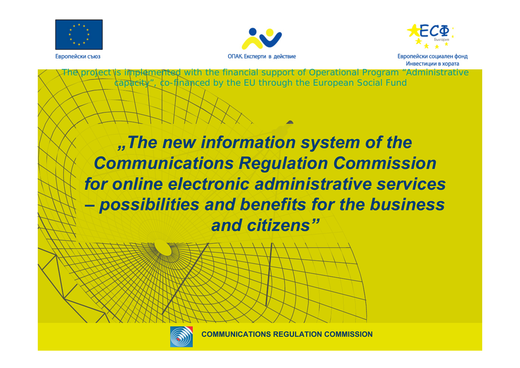



capacity", co-financed by the EU through the European Social Fund



Европейски съюз



*"The new information system of the Communications Regulation Commission for online electronic administrative services – possibilities and benefits for the business and citizens"*

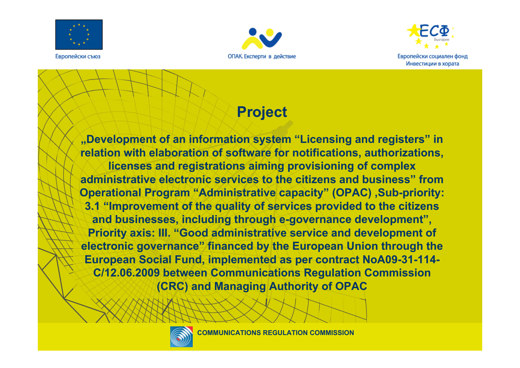





## **Project**

**"Development of an information system "Licensing and registers" in relation with elaboration of software for notifications, authorizations, licenses and registrations aiming provisioning of complex administrative electronic services to the citizens and business" from Operational Program "Administrative capacity" (OPAC) ,Sub-priority: 3.1 "Improvement of the quality of services provided to the citizens and businesses, including through e-governance development", Priority axis: III. "Good administrative service and development of electronic governance" financed by the European Union through the European Social Fund, implemented as per contract NoА09-31-114- С/12.06.2009 between Communications Regulation Commission (CRC) and Managing Authority of OPAC**

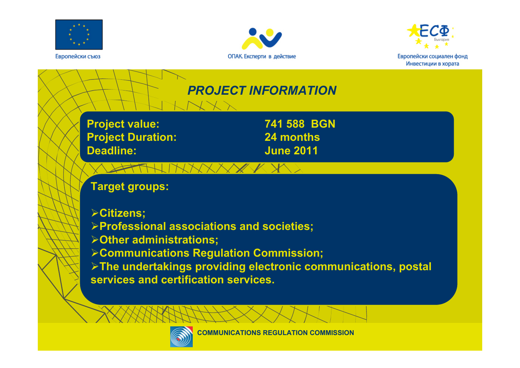





## *PROJECT INFORMATION*

**Project value: 741 588 BGN Project Duration: 24 months Deadline: June 2011**

### **Target groups:**

- ¾**Citizens;**
- ¾**Professional associations and societies;**
- ¾**Other administrations;**
- ¾**Communications Regulation Commission;**

¾**The undertakings providing electronic communications, postal services and certification services.**

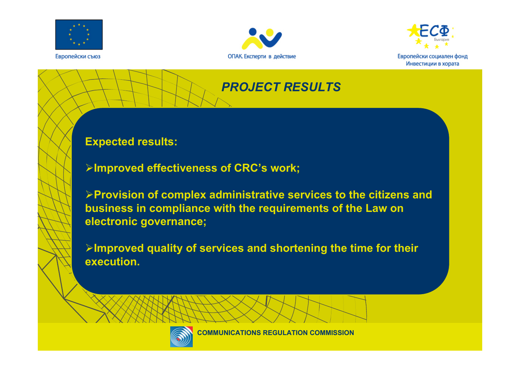





#### *PROJECT RESULTS*

**Expected results:**

¾**Improved effectiveness of CRC's work;**

¾**Provision of complex administrative services to the citizens and business in compliance with the requirements of the Law on electronic governance;**

¾**Improved quality of services and shortening the time for their execution.**

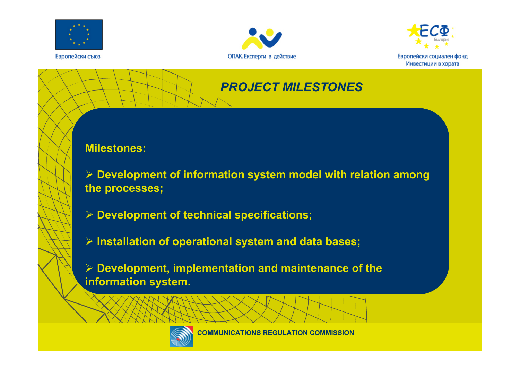





#### *PROJECT MILESTONES*

#### **Milestones:**

¾ **Development of information system model with relation among the processes;**

- ¾ **Development of technical specifications;**
- ¾ **Installation of operational system and data bases;**

¾ **Development, implementation and maintenance of the information system.**

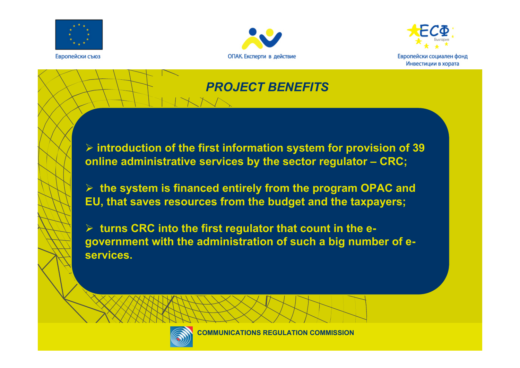





#### *PROJECT BENEFITS*

¾ **introduction of the first information system for provision of 39 online administrative services by the sector regulator – CRC;**

¾ **the system is financed entirely from the program OPAC and EU, that saves resources from the budget and the taxpayers;**

¾ **turns CRC into the first regulator that count in the egovernment with the administration of such a big number of eservices.** 

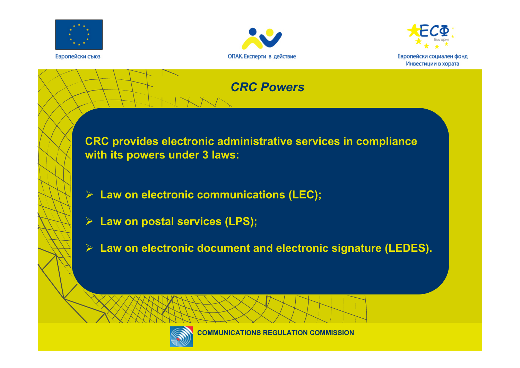





#### *CRC Powers*

**CRC provides electronic administrative services in compliance with its powers under 3 laws:**

- ¾ **Law on electronic communications (LEC);**
- ¾ **Law on postal services (LPS);**
- ¾ **Law on electronic document and electronic signature (LEDES).**

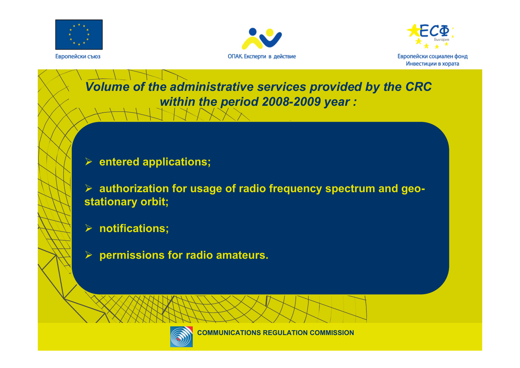





## *Volume of the administrative services provided by the CRC within the period 2008-2009 year :*

#### ¾ **entered applications;**

¾ **authorization for usage of radio frequency spectrum and geostationary orbit;**

#### ¾ **notifications;**

¾ **permissions for radio amateurs.**

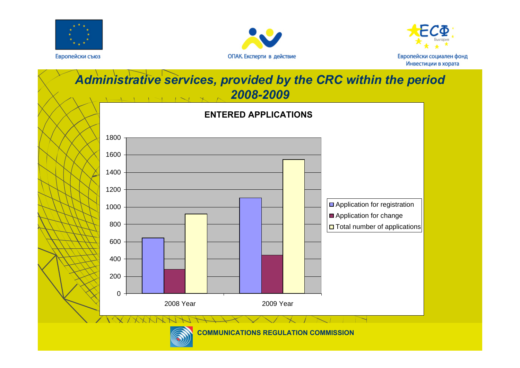





#### *Administrative services, provided by the CRC within the period 2008-2009*



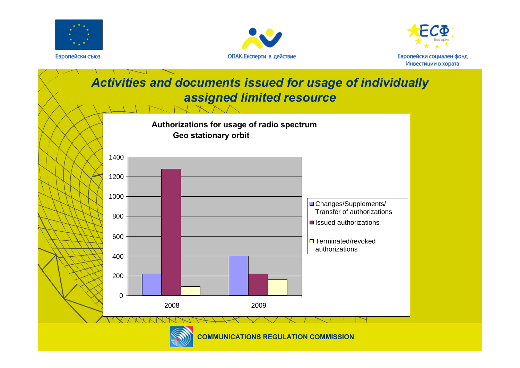





## *Activities and documents issued for usage of individually assigned limited resource*



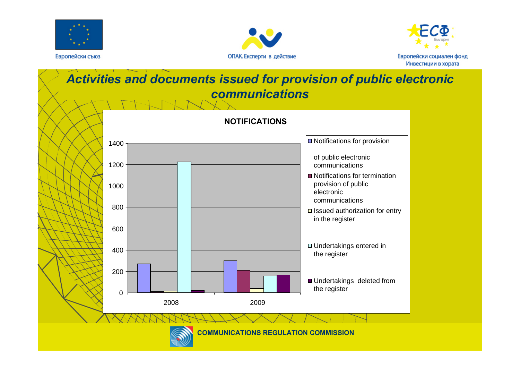





### *Activities and documents issued for provision of public electronic communications*



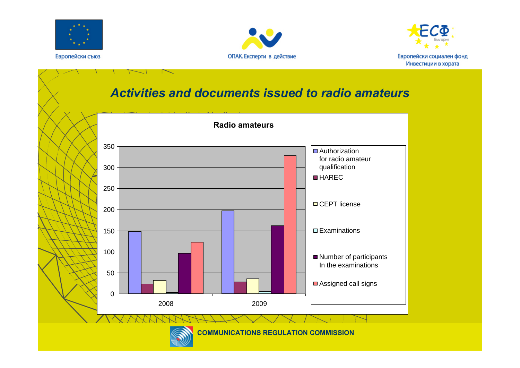





#### *Activities and documents issued to radio amateurs*



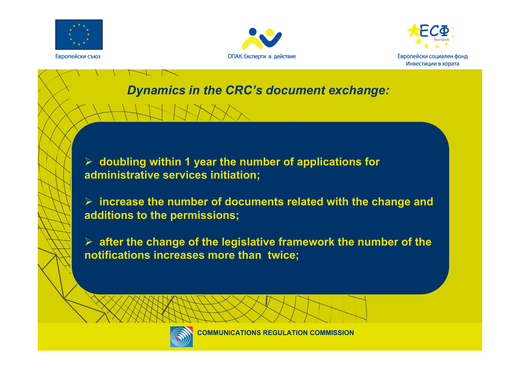





# *Dynamics in the CRC's document exchange:*

¾ **doubling within 1 year the number of applications for administrative services initiation;**

¾ **increase the number of documents related with the change and additions to the permissions;**

¾ **after the change of the legislative framework the number of the notifications increases more than twice;**

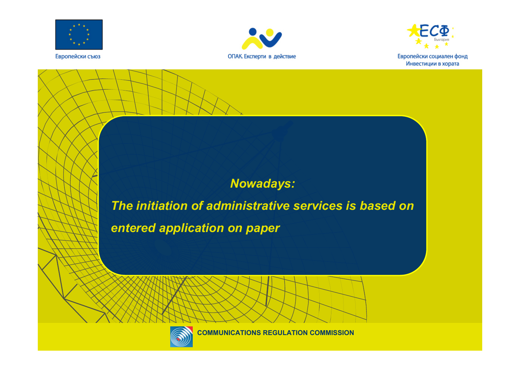





#### *Nowadays:*

*The initiation of administrative services is based on entered application on paper* 

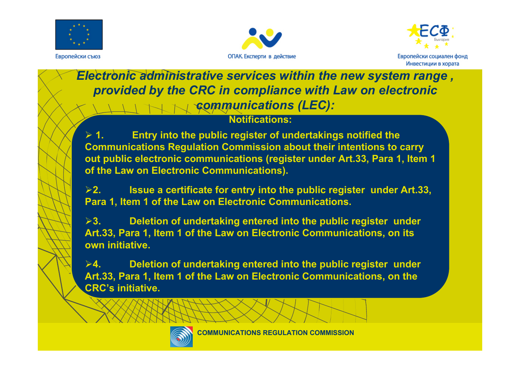





*Electronic administrative services within the new system range , provided by the CRC in compliance with Law on electronic communications (LEC):*

#### **Notifications:**

 $> 1$ . **1. Entry into the public register of undertakings notified the Communications Regulation Commission about their intentions to carry out public electronic communications (register under Art.33, Para 1, Item 1 of the Law on Electronic Communications).**

¾**2. Issue a certificate for entry into the public register under Art.33, Para 1, Item 1 of the Law on Electronic Communications.**

¾**3. Deletion of undertaking entered into the public register under Art.33, Para 1, Item 1 of the Law on Electronic Communications, on its own initiative.** 

¾**4. Deletion of undertaking entered into the public register under Art.33, Para 1, Item 1 of the Law on Electronic Communications, on the CRC's initiative.**

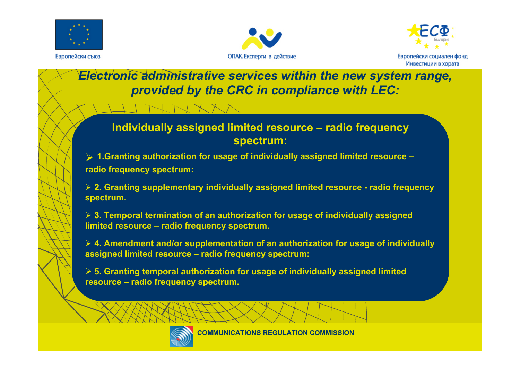





#### *Electronic administrative services within the new system range, provided by the CRC in compliance with LEC:*

#### **Individually assigned limited resource – radio frequency spectrum:**

¾ **1.Granting authorization for usage of individually assigned limited resource – radio frequency spectrum:**

¾ **2. Granting supplementary individually assigned limited resource - radio frequency spectrum.**

¾ **3. Temporal termination of an authorization for usage of individually assigned limited resource – radio frequency spectrum.** 

¾ **4. Amendment and/or supplementation of an authorization for usage of individually assigned limited resource – radio frequency spectrum:**

¾ **5. Granting temporal authorization for usage of individually assigned limited resource – radio frequency spectrum.**

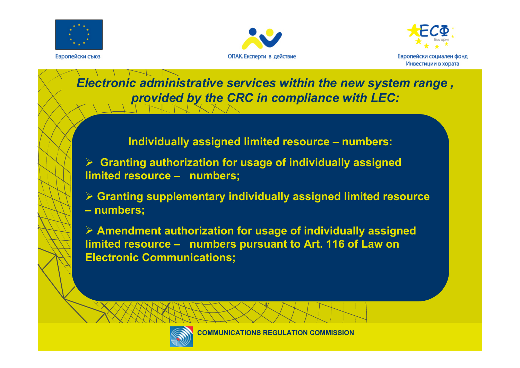





*Electronic administrative services within the new system range , provided by the CRC in compliance with LEC:*

**Individually assigned limited resource – numbers:**

¾ **Granting authorization for usage of individually assigned limited resource – numbers;**

¾ **Granting supplementary individually assigned limited resource – numbers;**

¾ **Amendment authorization for usage of individually assigned limited resource – numbers pursuant to Art. 116 of Law on Electronic Communications;**

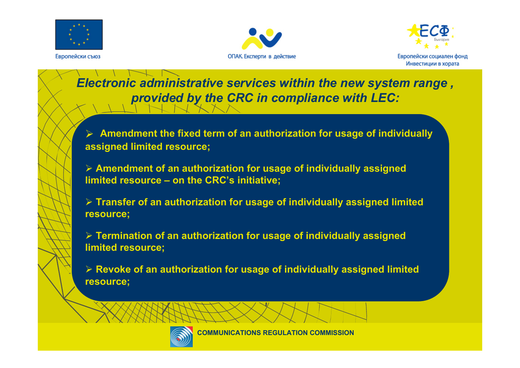





## *Electronic administrative services within the new system range , provided by the CRC in compliance with LEC:*

¾ **Amendment the fixed term of an authorization for usage of individually assigned limited resource;**

¾ **Amendment of an authorization for usage of individually assigned limited resource – on the CRC's initiative;**

¾ **Transfer of an authorization for usage of individually assigned limited resource;**

¾ **Termination of an authorization for usage of individually assigned limited resource;**

¾ **Revoke of an authorization for usage of individually assigned limited resource;**



**КОМИСИЯ ЗА РЕГУЛИРАНЕ COMMUNICATIONS REGULATION COMMISSION**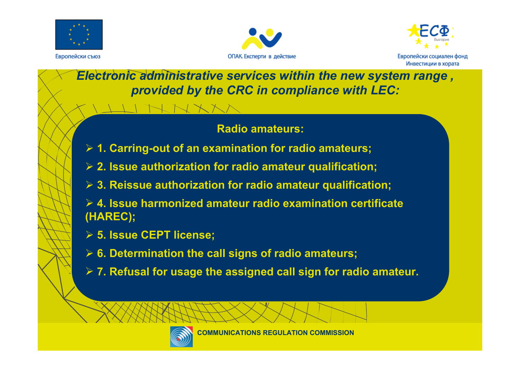





*Electronic administrative services within the new system range , provided by the CRC in compliance with LEC:*

#### **Radio amateurs:**

- ¾ **1. Carring-out of an examination for radio amateurs;**
- ¾ **2. Issue authorization for radio amateur qualification;**
- ¾ **3. Reissue authorization for radio amateur qualification;**
- ¾ **4. Issue harmonized amateur radio examination certificate (HAREC);**
- ¾ **5. Issue СЕРТ license;**
- ¾ **6. Determination the call signs of radio amateurs;**
- ¾ **7. Refusal for usage the assigned call sign for radio amateur.**

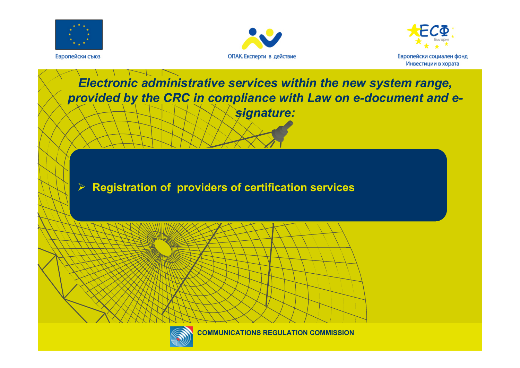





### *Electronic administrative services within the new system range, provided by the CRC in compliance with Law on e-document and esignature:*

#### ¾ **Registration of providers of certification services**

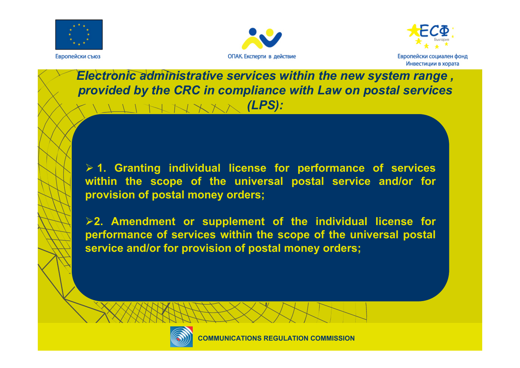





*Are provided by the CRC in compliance with Law on postal services Electronic administrative services within the new system range , (LPS):*

¾ **1. Granting individual license for performance of services within the scope of the universal postal service and/or for provision of postal money orders;**

¾**2. Amendment or supplement of the individual license for performance of services within the scope of the universal postal service and/or for provision of postal money orders;**

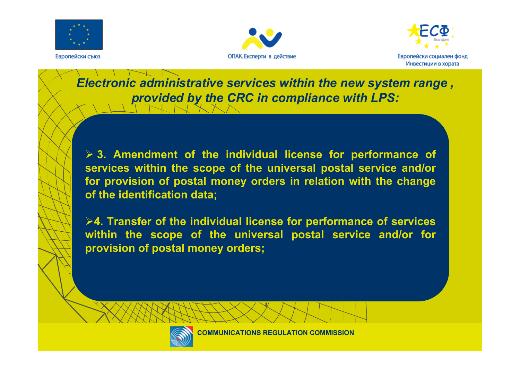





*Electronic administrative services within the new system range , provided by the CRC in compliance with LPS:*

¾ **3. Amendment of the individual license for performance of services within the scope of the universal postal service and/or for provision of postal money orders in relation with the change of the identification data;** 

¾**4. Transfer of the individual license for performance of services within the scope of the universal postal service and/or for provision of postal money orders;**

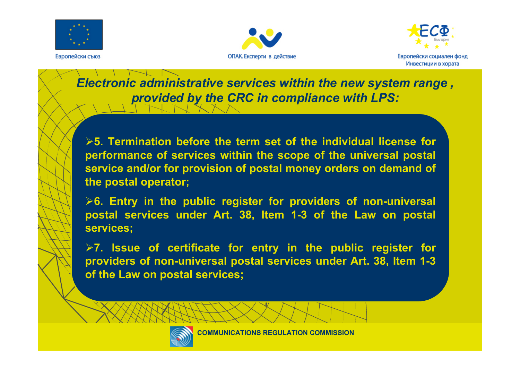





*Electronic administrative services within the new system range , provided by the CRC in compliance with LPS:*

¾**5. Termination before the term set of the individual license forperformance of services within the scope of the universal postal service and/or for provision of postal money orders on demand of the postal operator;**

¾**6. Entry in the public register for providers of non-universal postal services under Art. 38, Item 1-3 of the Law on postal services;**

¾**7. Issue of certificate for entry in the public register for providers of non-universal postal services under Art. 38, Item 1-3 of the Law on postal services;**

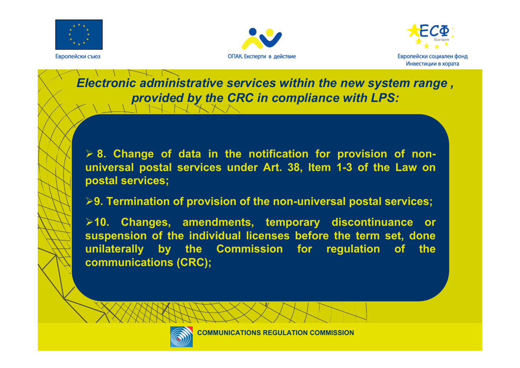





*Electronic administrative services within the new system range , provided by the CRC in compliance with LPS:*

¾ **8. Change of data in the notification for provision of nonuniversal postal services under Art. 38, Item 1-3 of the Law on postal services;**

¾**9. Termination of provision of the non-universal postal services;** 

¾**10. Changes, amendments, temporary discontinuance or suspension of the individual licenses before the term set, done unilaterally by the Commission for regulation of the communications (CRC);**

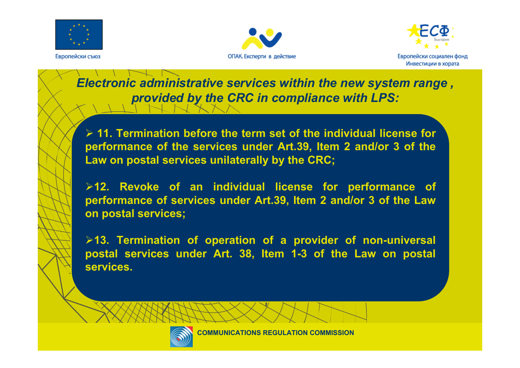





*Electronic administrative services within the new system range , provided by the CRC in compliance with LPS:*

¾ **11. Termination before the term set of the individual license for performance of the services under Art.39, Item 2 and/or 3 of the Law on postal services unilaterally by the CRC;** 

¾**12. Revoke of an individual license for performance of performance of services under Art.39, Item 2 and/or 3 of the Law on postal services;**

¾**13. Termination of operation of a provider of non-universal postal services under Art. 38, Item 1-3 of the Law on postal services.** 

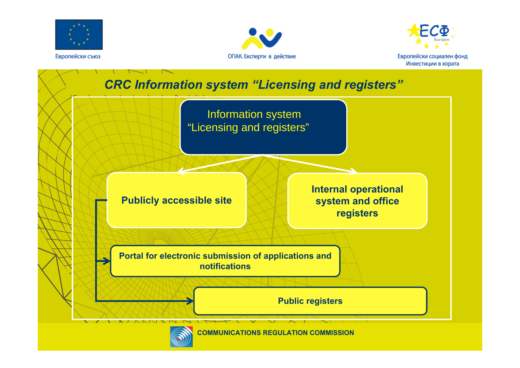





#### *CRC Information system "Licensing and registers"*



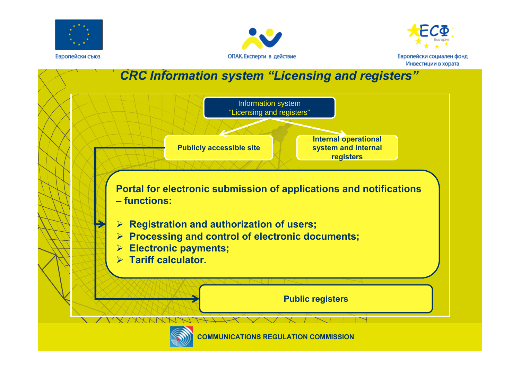





#### *CRC Information system "Licensing and registers"*



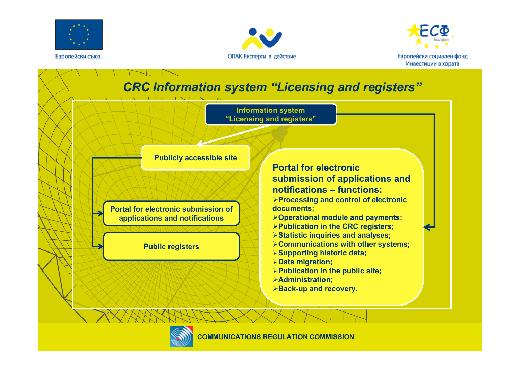





### *CRC Information system "Licensing and registers"*



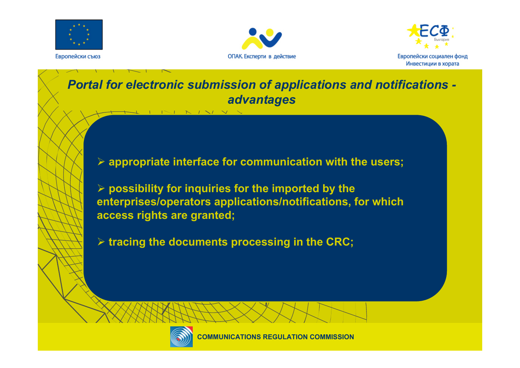





#### *Portal for electronic submission of applications and notifications advantages*

- ¾ **appropriate interface for communication with the users;**
- ¾ **possibility for inquiries for the imported by the enterprises/operators applications/notifications, for which access rights are granted;**
- ¾ **tracing the documents processing in the CRC;**

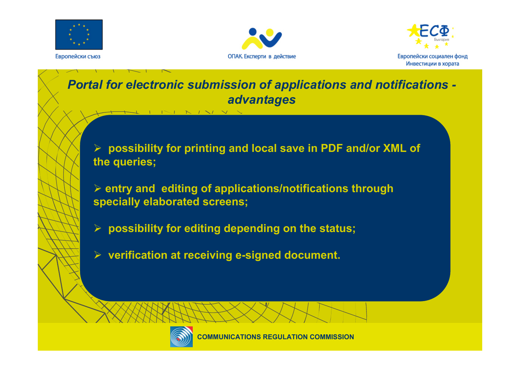





#### *Portal for electronic submission of applications and notifications advantages*

¾ **possibility for printing and local save in PDF and/or XML of the queries;**

¾ **entry and editing of applications/notifications through specially elaborated screens;**

- ¾ **possibility for editing depending on the status;**
- ¾ **verification at receiving e-signed document.**

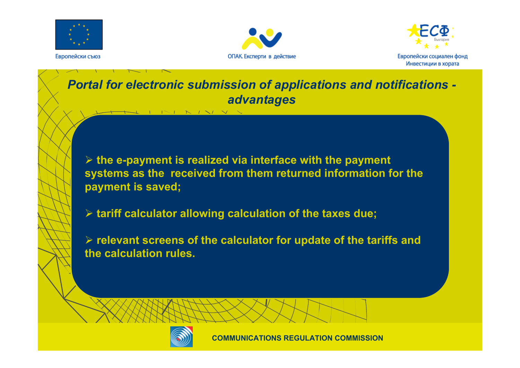





#### *Portal for electronic submission of applications and notifications advantages*

¾ **the e-payment is realized via interface with the payment systems as the received from them returned information for the payment is saved;**

¾ **tariff calculator allowing calculation of the taxes due;**

¾ **relevant screens of the calculator for update of the tariffs and the calculation rules.** 

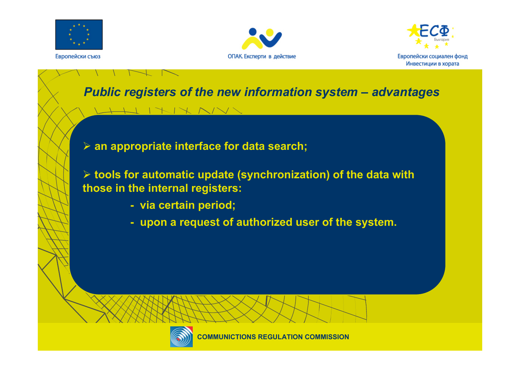





## *Public registers of the new information system – advantages*

¾ **an appropriate interface for data search;**

¾ **tools for automatic update (synchronization) of the data with those in the internal registers:**

- **- via certain period;**
- **- upon a request of authorized user of the system.**

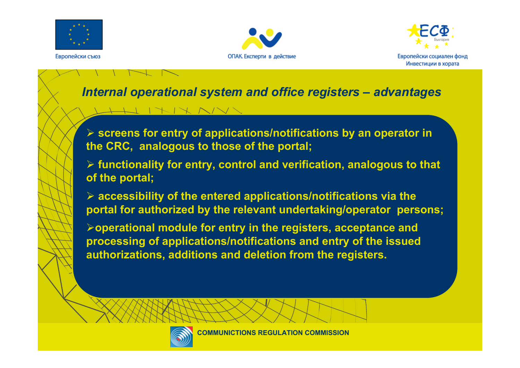





#### *Internal operational system and office registers – advantages*

#### ¾ **screens for entry of applications/notifications by an operator in the CRC, analogous to those of the portal;**

- ¾ **functionality for entry, control and verification, analogous to that of the portal;**
- ¾ **accessibility of the entered applications/notifications via the portal for authorized by the relevant undertaking/operator persons;**
- ¾**operational module for entry in the registers, acceptance and processing of applications/notifications and entry of the issued authorizations, additions and deletion from the registers.**

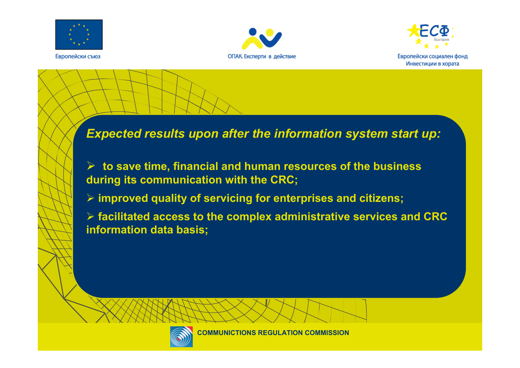





#### *Expected results upon after the information system start up:*

¾ **to save time, financial and human resources of the business during its communication with the CRC;**

¾ **improved quality of servicing for enterprises and citizens;**

¾ **facilitated access to the complex administrative services and CRC information data basis;**